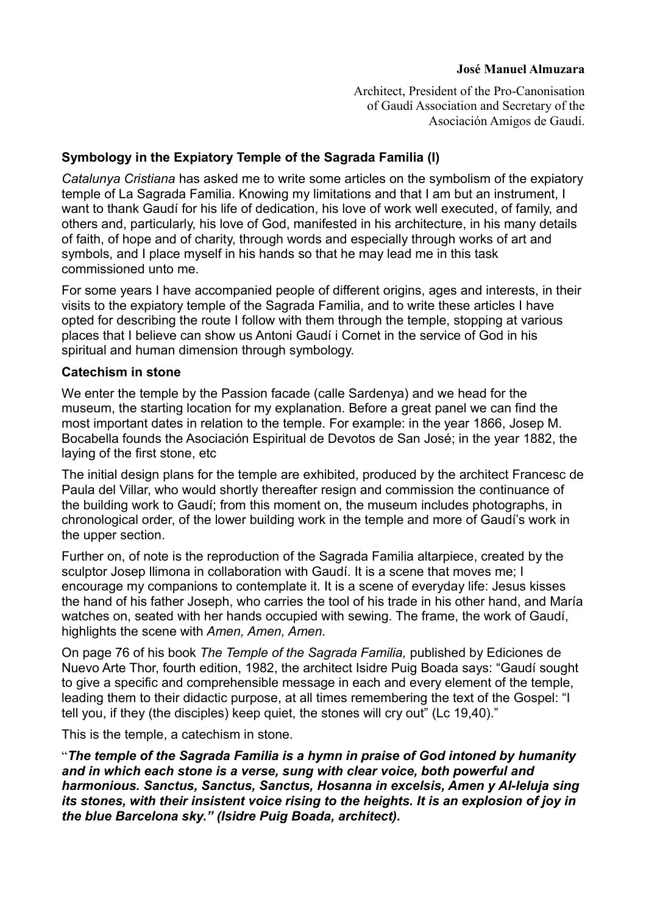## **José Manuel Almuzara**

Architect, President of the Pro-Canonisation of Gaudí Association and Secretary of the Asociación Amigos de Gaudí.

# **Symbology in the Expiatory Temple of the Sagrada Familia (I)**

*Catalunya Cristiana* has asked me to write some articles on the symbolism of the expiatory temple of La Sagrada Familia. Knowing my limitations and that I am but an instrument, I want to thank Gaudí for his life of dedication, his love of work well executed, of family, and others and, particularly, his love of God, manifested in his architecture, in his many details of faith, of hope and of charity, through words and especially through works of art and symbols, and I place myself in his hands so that he may lead me in this task commissioned unto me.

For some years I have accompanied people of different origins, ages and interests, in their visits to the expiatory temple of the Sagrada Familia, and to write these articles I have opted for describing the route I follow with them through the temple, stopping at various places that I believe can show us Antoni Gaudí i Cornet in the service of God in his spiritual and human dimension through symbology.

## **Catechism in stone**

We enter the temple by the Passion facade (calle Sardenya) and we head for the museum, the starting location for my explanation. Before a great panel we can find the most important dates in relation to the temple. For example: in the year 1866, Josep M. Bocabella founds the Asociación Espiritual de Devotos de San José; in the year 1882, the laying of the first stone, etc

The initial design plans for the temple are exhibited, produced by the architect Francesc de Paula del Villar, who would shortly thereafter resign and commission the continuance of the building work to Gaudí; from this moment on, the museum includes photographs, in chronological order, of the lower building work in the temple and more of Gaudí's work in the upper section.

Further on, of note is the reproduction of the Sagrada Familia altarpiece, created by the sculptor Josep Ilimona in collaboration with Gaudí. It is a scene that moves me; I encourage my companions to contemplate it. It is a scene of everyday life: Jesus kisses the hand of his father Joseph, who carries the tool of his trade in his other hand, and María watches on, seated with her hands occupied with sewing. The frame, the work of Gaudí, highlights the scene with *Amen, Amen, Amen.*

On page 76 of his book *The Temple of the Sagrada Familia,* published by Ediciones de Nuevo Arte Thor, fourth edition, 1982, the architect Isidre Puig Boada says: "Gaudí sought to give a specific and comprehensible message in each and every element of the temple, leading them to their didactic purpose, at all times remembering the text of the Gospel: "I tell you, if they (the disciples) keep quiet, the stones will cry out" (Lc 19,40)."

This is the temple, a catechism in stone.

"*The temple of the Sagrada Familia is a hymn in praise of God intoned by humanity and in which each stone is a verse, sung with clear voice, both powerful and harmonious. Sanctus, Sanctus, Sanctus, Hosanna in excelsis, Amen y Al-leluja sing its stones, with their insistent voice rising to the heights. It is an explosion of joy in the blue Barcelona sky." (Isidre Puig Boada, architect).*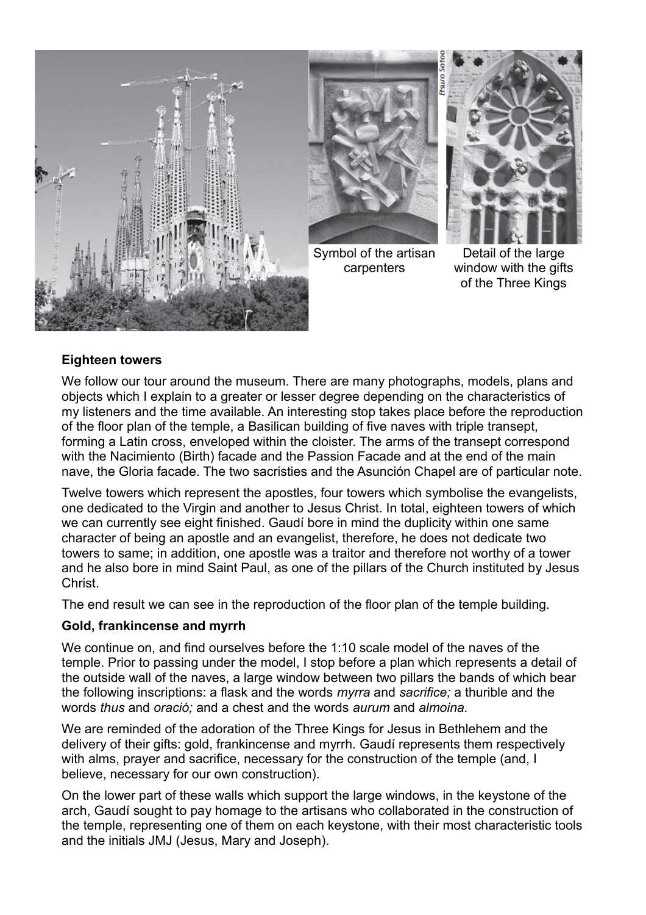



Symbol of the artisan carpenters



Detail of the large window with the gifts of the Three Kings

# **Eighteen towers**

We follow our tour around the museum. There are many photographs, models, plans and objects which I explain to a greater or lesser degree depending on the characteristics of my listeners and the time available. An interesting stop takes place before the reproduction of the floor plan of the temple, a Basilican building of five naves with triple transept, forming a Latin cross, enveloped within the cloister. The arms of the transept correspond with the Nacimiento (Birth) facade and the Passion Facade and at the end of the main nave, the Gloria facade. The two sacristies and the Asunción Chapel are of particular note.

Twelve towers which represent the apostles, four towers which symbolise the evangelists, one dedicated to the Virgin and another to Jesus Christ. In total, eighteen towers of which we can currently see eight finished. Gaudí bore in mind the duplicity within one same character of being an apostle and an evangelist, therefore, he does not dedicate two towers to same; in addition, one apostle was a traitor and therefore not worthy of a tower and he also bore in mind Saint Paul, as one of the pillars of the Church instituted by Jesus **Christ** 

The end result we can see in the reproduction of the floor plan of the temple building.

# **Gold, frankincense and myrrh**

We continue on, and find ourselves before the 1:10 scale model of the naves of the temple. Prior to passing under the model, I stop before a plan which represents a detail of the outside wall of the naves, a large window between two pillars the bands of which bear the following inscriptions: a flask and the words *myrra* and *sacrifice;* a thurible and the words *thus* and *oració;* and a chest and the words *aurum* and *almoina.*

We are reminded of the adoration of the Three Kings for Jesus in Bethlehem and the delivery of their gifts: gold, frankincense and myrrh. Gaudí represents them respectively with alms, prayer and sacrifice, necessary for the construction of the temple (and, I believe, necessary for our own construction).

On the lower part of these walls which support the large windows, in the keystone of the arch, Gaudí sought to pay homage to the artisans who collaborated in the construction of the temple, representing one of them on each keystone, with their most characteristic tools and the initials JMJ (Jesus, Mary and Joseph).